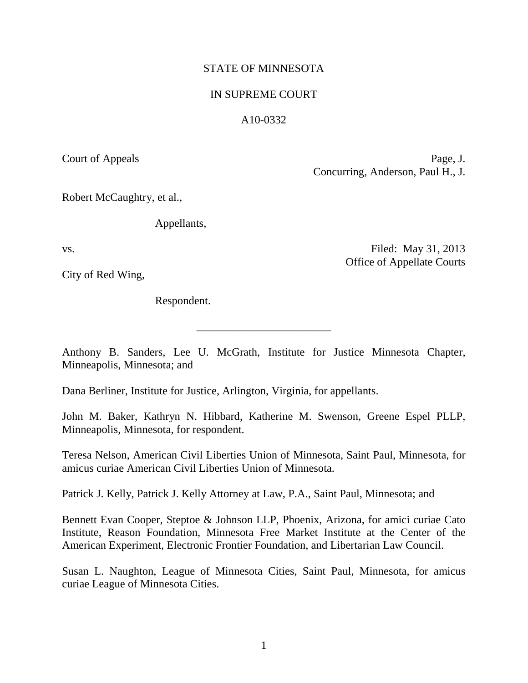# STATE OF MINNESOTA

## IN SUPREME COURT

### A10-0332

Court of Appeals Page, J. Concurring, Anderson, Paul H., J.

Office of Appellate Courts

Robert McCaughtry, et al.,

Appellants,

vs. Solution of the contract of the contract of the Filed: May 31, 2013

City of Red Wing,

Respondent.

Anthony B. Sanders, Lee U. McGrath, Institute for Justice Minnesota Chapter, Minneapolis, Minnesota; and

\_\_\_\_\_\_\_\_\_\_\_\_\_\_\_\_\_\_\_\_\_\_\_\_

Dana Berliner, Institute for Justice, Arlington, Virginia, for appellants.

John M. Baker, Kathryn N. Hibbard, Katherine M. Swenson, Greene Espel PLLP, Minneapolis, Minnesota, for respondent.

Teresa Nelson, American Civil Liberties Union of Minnesota, Saint Paul, Minnesota, for amicus curiae American Civil Liberties Union of Minnesota.

Patrick J. Kelly, Patrick J. Kelly Attorney at Law, P.A., Saint Paul, Minnesota; and

Bennett Evan Cooper, Steptoe & Johnson LLP, Phoenix, Arizona, for amici curiae Cato Institute, Reason Foundation, Minnesota Free Market Institute at the Center of the American Experiment, Electronic Frontier Foundation, and Libertarian Law Council.

<span id="page-0-0"></span>Susan L. Naughton, League of Minnesota Cities, Saint Paul, Minnesota, for amicus curiae League of Minnesota Cities.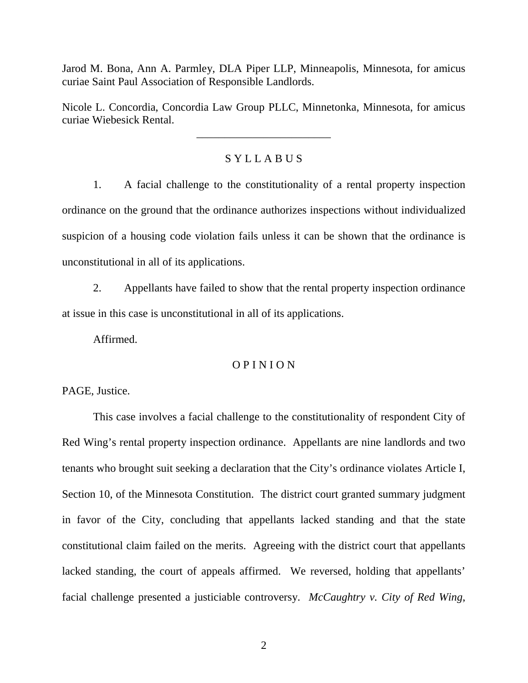Jarod M. Bona, Ann A. Parmley, DLA Piper LLP, Minneapolis, Minnesota, for amicus curiae Saint Paul Association of Responsible Landlords.

Nicole L. Concordia, Concordia Law Group PLLC, Minnetonka, Minnesota, for amicus curiae Wiebesick Rental.

\_\_\_\_\_\_\_\_\_\_\_\_\_\_\_\_\_\_\_\_\_\_\_\_

# S Y L L A B U S

1. A facial challenge to the constitutionality of a rental property inspection ordinance on the ground that the ordinance authorizes inspections without individualized suspicion of a housing code violation fails unless it can be shown that the ordinance is unconstitutional in all of its applications.

2. Appellants have failed to show that the rental property inspection ordinance at issue in this case is unconstitutional in all of its applications.

Affirmed.

### O P I N I O N

PAGE, Justice.

This case involves a facial challenge to the constitutionality of respondent City of Red Wing's rental property inspection ordinance. Appellants are nine landlords and two tenants who brought suit seeking a declaration that the City's ordinance violates Article I, Section 10, of the Minnesota Constitution. The district court granted summary judgment in favor of the City, concluding that appellants lacked standing and that the state constitutional claim failed on the merits. Agreeing with the district court that appellants lacked standing, the court of appeals affirmed. We reversed, holding that appellants' facial challenge presented a justiciable controversy. *McCaughtry v. City of Red Wing*,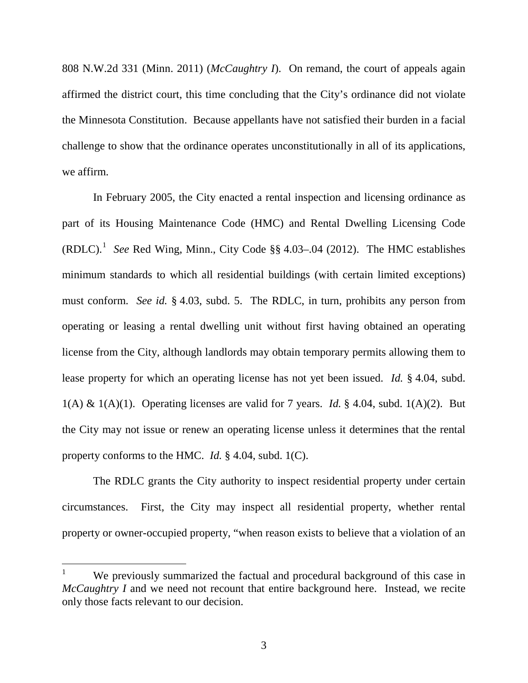808 N.W.2d 331 (Minn. 2011) (*McCaughtry I*). On remand, the court of appeals again affirmed the district court, this time concluding that the City's ordinance did not violate the Minnesota Constitution. Because appellants have not satisfied their burden in a facial challenge to show that the ordinance operates unconstitutionally in all of its applications, we affirm.

In February 2005, the City enacted a rental inspection and licensing ordinance as part of its Housing Maintenance Code (HMC) and Rental Dwelling Licensing Code (RDLC). [1](#page-0-0) *See* Red Wing, Minn., City Code §§ 4.03–.04 (2012). The HMC establishes minimum standards to which all residential buildings (with certain limited exceptions) must conform. *See id.* § 4.03, subd. 5. The RDLC, in turn, prohibits any person from operating or leasing a rental dwelling unit without first having obtained an operating license from the City, although landlords may obtain temporary permits allowing them to lease property for which an operating license has not yet been issued. *Id.* § 4.04, subd. 1(A) & 1(A)(1). Operating licenses are valid for 7 years. *Id.* § 4.04, subd. 1(A)(2). But the City may not issue or renew an operating license unless it determines that the rental property conforms to the HMC. *Id.* § 4.04, subd. 1(C).

<span id="page-2-0"></span>The RDLC grants the City authority to inspect residential property under certain circumstances. First, the City may inspect all residential property, whether rental property or owner-occupied property, "when reason exists to believe that a violation of an

<sup>&</sup>lt;sup>1</sup> We previously summarized the factual and procedural background of this case in *McCaughtry I* and we need not recount that entire background here. Instead, we recite only those facts relevant to our decision.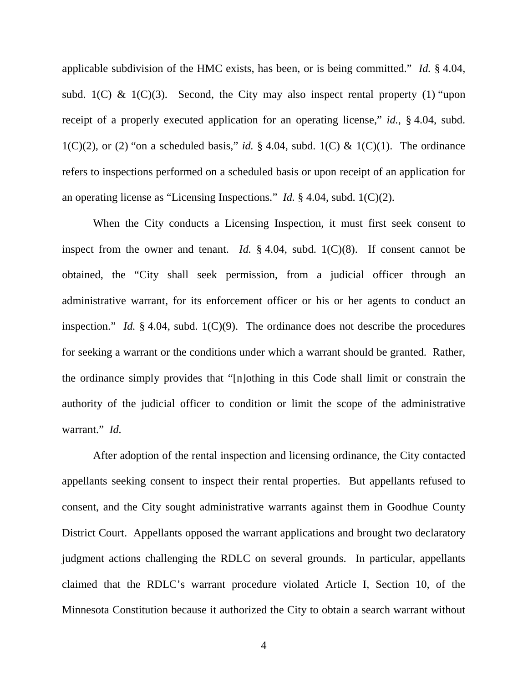applicable subdivision of the HMC exists, has been, or is being committed." *Id.* § 4.04, subd. 1(C) & 1(C)(3). Second, the City may also inspect rental property (1) "upon receipt of a properly executed application for an operating license," *id.*, § 4.04, subd. 1(C)(2), or (2) "on a scheduled basis," *id.* § 4.04, subd. 1(C) & 1(C)(1). The ordinance refers to inspections performed on a scheduled basis or upon receipt of an application for an operating license as "Licensing Inspections." *Id.* § 4.04, subd. 1(C)(2).

When the City conducts a Licensing Inspection, it must first seek consent to inspect from the owner and tenant. *Id.*  $\S$  4.04, subd. 1(C)(8). If consent cannot be obtained, the "City shall seek permission, from a judicial officer through an administrative warrant, for its enforcement officer or his or her agents to conduct an inspection." *Id.* § 4.04, subd. 1(C)(9). The ordinance does not describe the procedures for seeking a warrant or the conditions under which a warrant should be granted. Rather, the ordinance simply provides that "[n]othing in this Code shall limit or constrain the authority of the judicial officer to condition or limit the scope of the administrative warrant." *Id.*

After adoption of the rental inspection and licensing ordinance, the City contacted appellants seeking consent to inspect their rental properties. But appellants refused to consent, and the City sought administrative warrants against them in Goodhue County District Court. Appellants opposed the warrant applications and brought two declaratory judgment actions challenging the RDLC on several grounds. In particular, appellants claimed that the RDLC's warrant procedure violated Article I, Section 10, of the Minnesota Constitution because it authorized the City to obtain a search warrant without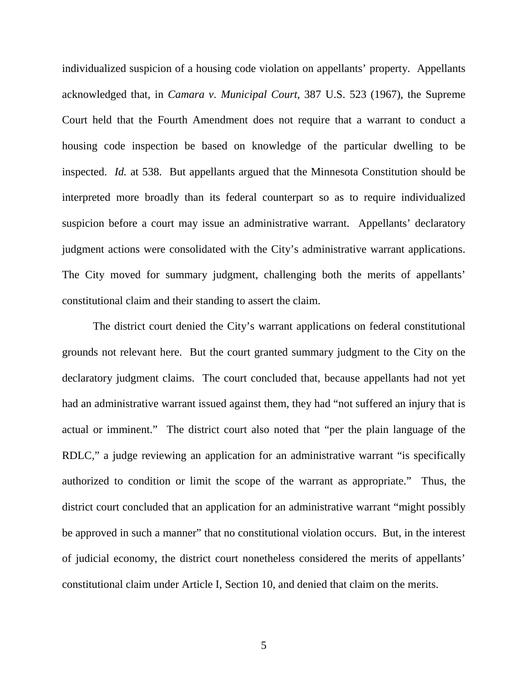individualized suspicion of a housing code violation on appellants' property. Appellants acknowledged that, in *Camara v. Municipal Court*, 387 U.S. 523 (1967), the Supreme Court held that the Fourth Amendment does not require that a warrant to conduct a housing code inspection be based on knowledge of the particular dwelling to be inspected. *Id.* at 538. But appellants argued that the Minnesota Constitution should be interpreted more broadly than its federal counterpart so as to require individualized suspicion before a court may issue an administrative warrant. Appellants' declaratory judgment actions were consolidated with the City's administrative warrant applications. The City moved for summary judgment, challenging both the merits of appellants' constitutional claim and their standing to assert the claim.

The district court denied the City's warrant applications on federal constitutional grounds not relevant here. But the court granted summary judgment to the City on the declaratory judgment claims. The court concluded that, because appellants had not yet had an administrative warrant issued against them, they had "not suffered an injury that is actual or imminent." The district court also noted that "per the plain language of the RDLC," a judge reviewing an application for an administrative warrant "is specifically authorized to condition or limit the scope of the warrant as appropriate." Thus, the district court concluded that an application for an administrative warrant "might possibly be approved in such a manner" that no constitutional violation occurs. But, in the interest of judicial economy, the district court nonetheless considered the merits of appellants' constitutional claim under Article I, Section 10, and denied that claim on the merits.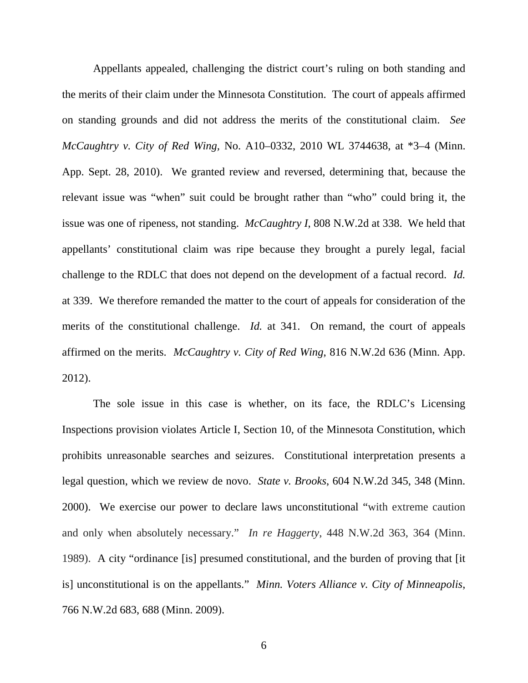Appellants appealed, challenging the district court's ruling on both standing and the merits of their claim under the Minnesota Constitution. The court of appeals affirmed on standing grounds and did not address the merits of the constitutional claim. *See McCaughtry v. City of Red Wing,* No. A10–0332, 2010 WL 3744638, at \*3–4 (Minn. App. Sept. 28, 2010). We granted review and reversed, determining that, because the relevant issue was "when" suit could be brought rather than "who" could bring it, the issue was one of ripeness, not standing. *McCaughtry I*, 808 N.W.2d at 338. We held that appellants' constitutional claim was ripe because they brought a purely legal, facial challenge to the RDLC that does not depend on the development of a factual record. *Id.* at 339. We therefore remanded the matter to the court of appeals for consideration of the merits of the constitutional challenge. *Id.* at 341. On remand, the court of appeals affirmed on the merits. *McCaughtry v. City of Red Wing*, 816 N.W.2d 636 (Minn. App. 2012).

The sole issue in this case is whether, on its face, the RDLC's Licensing Inspections provision violates Article I, Section 10, of the Minnesota Constitution, which prohibits unreasonable searches and seizures. Constitutional interpretation presents a legal question, which we review de novo. *State v. Brooks*, 604 N.W.2d 345, 348 (Minn. 2000). We exercise our power to declare laws unconstitutional "with extreme caution and only when absolutely necessary." *In re Haggerty*, 448 N.W.2d 363, 364 (Minn. 1989). A city "ordinance [is] presumed constitutional, and the burden of proving that [it is] unconstitutional is on the appellants." *Minn. Voters Alliance v. City of Minneapolis*, 766 N.W.2d 683, 688 (Minn. 2009).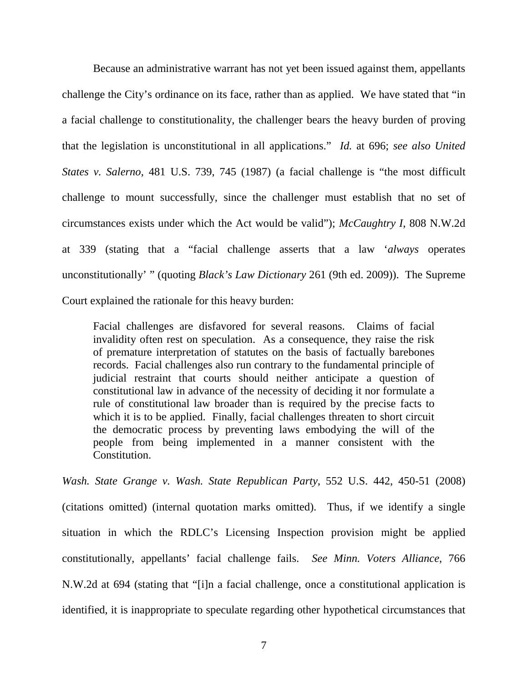Because an administrative warrant has not yet been issued against them, appellants challenge the City's ordinance on its face, rather than as applied. We have stated that "in a facial challenge to constitutionality, the challenger bears the heavy burden of proving that the legislation is unconstitutional in all applications." *Id.* at 696; *see also United States v. Salerno*, 481 U.S. 739, 745 (1987) (a facial challenge is "the most difficult challenge to mount successfully, since the challenger must establish that no set of circumstances exists under which the Act would be valid"); *McCaughtry I*, 808 N.W.2d at 339 (stating that a "facial challenge asserts that a law '*always* operates unconstitutionally' " (quoting *Black's Law Dictionary* 261 (9th ed. 2009)). The Supreme Court explained the rationale for this heavy burden:

Facial challenges are disfavored for several reasons. Claims of facial invalidity often rest on speculation. As a consequence, they raise the risk of premature interpretation of statutes on the basis of factually barebones records. Facial challenges also run contrary to the fundamental principle of judicial restraint that courts should neither anticipate a question of constitutional law in advance of the necessity of deciding it nor formulate a rule of constitutional law broader than is required by the precise facts to which it is to be applied. Finally, facial challenges threaten to short circuit the democratic process by preventing laws embodying the will of the people from being implemented in a manner consistent with the Constitution.

*Wash. State Grange v. Wash. State Republican Party*, 552 U.S. 442, 450-51 (2008) (citations omitted) (internal quotation marks omitted). Thus, if we identify a single situation in which the RDLC's Licensing Inspection provision might be applied constitutionally, appellants' facial challenge fails. *See Minn. Voters Alliance*, 766 N.W.2d at 694 (stating that "[i]n a facial challenge, once a constitutional application is identified, it is inappropriate to speculate regarding other hypothetical circumstances that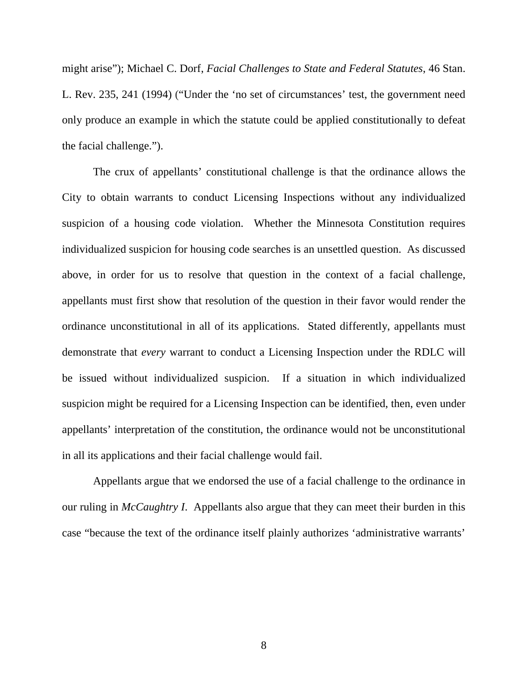might arise"); Michael C. Dorf, *Facial Challenges to State and Federal Statutes*, 46 Stan. L. Rev. 235, 241 (1994) ("Under the 'no set of circumstances' test, the government need only produce an example in which the statute could be applied constitutionally to defeat the facial challenge.").

The crux of appellants' constitutional challenge is that the ordinance allows the City to obtain warrants to conduct Licensing Inspections without any individualized suspicion of a housing code violation. Whether the Minnesota Constitution requires individualized suspicion for housing code searches is an unsettled question. As discussed above, in order for us to resolve that question in the context of a facial challenge, appellants must first show that resolution of the question in their favor would render the ordinance unconstitutional in all of its applications. Stated differently, appellants must demonstrate that *every* warrant to conduct a Licensing Inspection under the RDLC will be issued without individualized suspicion. If a situation in which individualized suspicion might be required for a Licensing Inspection can be identified, then, even under appellants' interpretation of the constitution, the ordinance would not be unconstitutional in all its applications and their facial challenge would fail.

Appellants argue that we endorsed the use of a facial challenge to the ordinance in our ruling in *McCaughtry I*. Appellants also argue that they can meet their burden in this case "because the text of the ordinance itself plainly authorizes 'administrative warrants'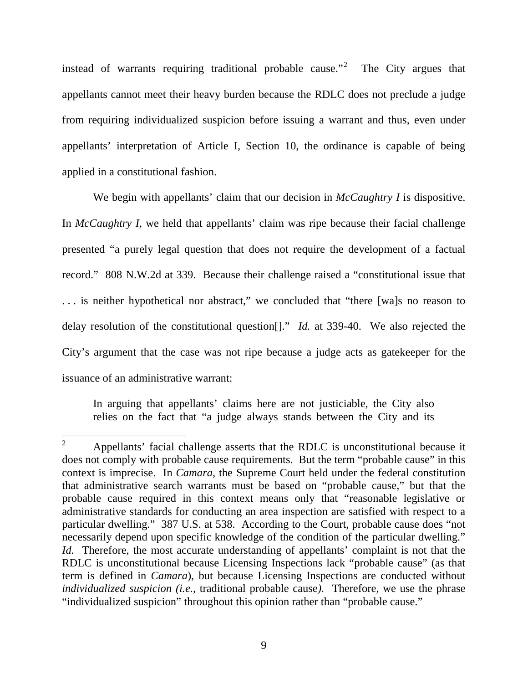instead of warrants requiring traditional probable cause."<sup>[2](#page-2-0)</sup> The City argues that appellants cannot meet their heavy burden because the RDLC does not preclude a judge from requiring individualized suspicion before issuing a warrant and thus, even under appellants' interpretation of Article I, Section 10, the ordinance is capable of being applied in a constitutional fashion.

We begin with appellants' claim that our decision in *McCaughtry I* is dispositive. In *McCaughtry I*, we held that appellants' claim was ripe because their facial challenge presented "a purely legal question that does not require the development of a factual record." 808 N.W.2d at 339. Because their challenge raised a "constitutional issue that . . . is neither hypothetical nor abstract," we concluded that "there [wa]s no reason to delay resolution of the constitutional question[]." *Id.* at 339-40. We also rejected the City's argument that the case was not ripe because a judge acts as gatekeeper for the issuance of an administrative warrant:

In arguing that appellants' claims here are not justiciable, the City also relies on the fact that "a judge always stands between the City and its

<span id="page-8-0"></span> $2^2$  Appellants' facial challenge asserts that the RDLC is unconstitutional because it does not comply with probable cause requirements. But the term "probable cause" in this context is imprecise. In *Camara*, the Supreme Court held under the federal constitution that administrative search warrants must be based on "probable cause," but that the probable cause required in this context means only that "reasonable legislative or administrative standards for conducting an area inspection are satisfied with respect to a particular dwelling." 387 U.S. at 538. According to the Court, probable cause does "not necessarily depend upon specific knowledge of the condition of the particular dwelling." *Id.* Therefore, the most accurate understanding of appellants' complaint is not that the RDLC is unconstitutional because Licensing Inspections lack "probable cause" (as that term is defined in *Camara*), but because Licensing Inspections are conducted without *individualized suspicion (i.e.,* traditional probable cause*).* Therefore, we use the phrase "individualized suspicion" throughout this opinion rather than "probable cause."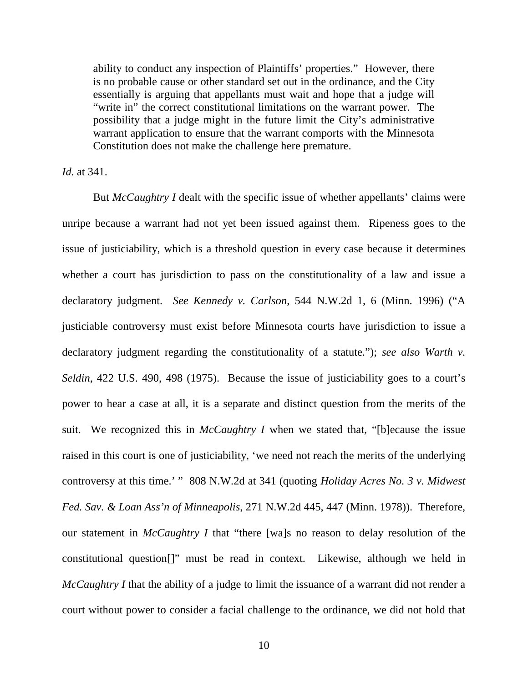ability to conduct any inspection of Plaintiffs' properties." However, there is no probable cause or other standard set out in the ordinance, and the City essentially is arguing that appellants must wait and hope that a judge will "write in" the correct constitutional limitations on the warrant power. The possibility that a judge might in the future limit the City's administrative warrant application to ensure that the warrant comports with the Minnesota Constitution does not make the challenge here premature.

*Id.* at 341.

But *McCaughtry I* dealt with the specific issue of whether appellants' claims were unripe because a warrant had not yet been issued against them. Ripeness goes to the issue of justiciability, which is a threshold question in every case because it determines whether a court has jurisdiction to pass on the constitutionality of a law and issue a declaratory judgment. *See Kennedy v. Carlson*, 544 N.W.2d 1, 6 (Minn. 1996) ("A justiciable controversy must exist before Minnesota courts have jurisdiction to issue a declaratory judgment regarding the constitutionality of a statute."); *see also Warth v. Seldin*, 422 U.S. 490, 498 (1975). Because the issue of justiciability goes to a court's power to hear a case at all, it is a separate and distinct question from the merits of the suit. We recognized this in *McCaughtry I* when we stated that, "[b]ecause the issue raised in this court is one of justiciability, 'we need not reach the merits of the underlying controversy at this time.' " 808 N.W.2d at 341 (quoting *Holiday Acres No. 3 v. Midwest Fed. Sav. & Loan Ass'n of Minneapolis*, 271 N.W.2d 445, 447 (Minn. 1978)). Therefore, our statement in *McCaughtry I* that "there [wa]s no reason to delay resolution of the constitutional question[]" must be read in context. Likewise, although we held in *McCaughtry I* that the ability of a judge to limit the issuance of a warrant did not render a court without power to consider a facial challenge to the ordinance, we did not hold that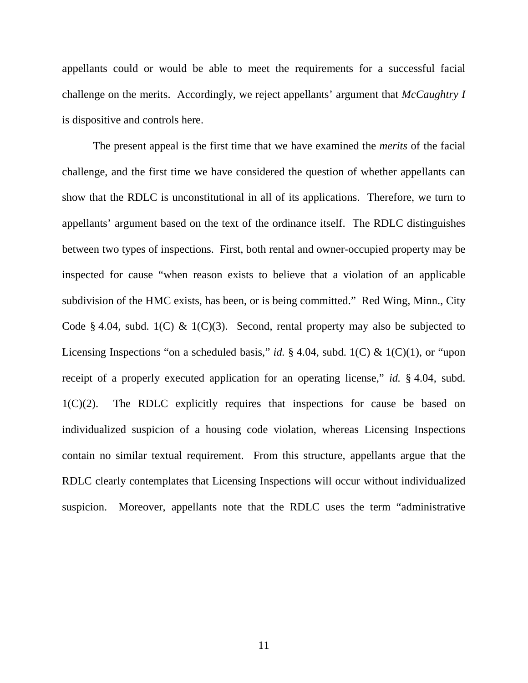appellants could or would be able to meet the requirements for a successful facial challenge on the merits. Accordingly, we reject appellants' argument that *McCaughtry I* is dispositive and controls here.

The present appeal is the first time that we have examined the *merits* of the facial challenge, and the first time we have considered the question of whether appellants can show that the RDLC is unconstitutional in all of its applications. Therefore, we turn to appellants' argument based on the text of the ordinance itself. The RDLC distinguishes between two types of inspections. First, both rental and owner-occupied property may be inspected for cause "when reason exists to believe that a violation of an applicable subdivision of the HMC exists, has been, or is being committed." Red Wing, Minn., City Code § 4.04, subd. 1(C) & 1(C)(3). Second, rental property may also be subjected to Licensing Inspections "on a scheduled basis," *id.* § 4.04, subd. 1(C) & 1(C)(1), or "upon receipt of a properly executed application for an operating license," *id.* § 4.04, subd. 1(C)(2). The RDLC explicitly requires that inspections for cause be based on individualized suspicion of a housing code violation, whereas Licensing Inspections contain no similar textual requirement. From this structure, appellants argue that the RDLC clearly contemplates that Licensing Inspections will occur without individualized suspicion. Moreover, appellants note that the RDLC uses the term "administrative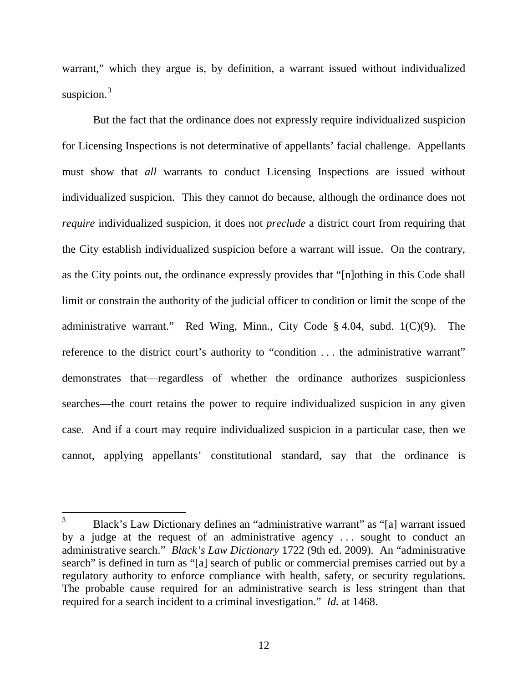warrant," which they argue is, by definition, a warrant issued without individualized suspicion.<sup>[3](#page-8-0)</sup>

But the fact that the ordinance does not expressly require individualized suspicion for Licensing Inspections is not determinative of appellants' facial challenge. Appellants must show that *all* warrants to conduct Licensing Inspections are issued without individualized suspicion. This they cannot do because, although the ordinance does not *require* individualized suspicion, it does not *preclude* a district court from requiring that the City establish individualized suspicion before a warrant will issue. On the contrary, as the City points out, the ordinance expressly provides that "[n]othing in this Code shall limit or constrain the authority of the judicial officer to condition or limit the scope of the administrative warrant." Red Wing, Minn., City Code § 4.04, subd. 1(C)(9). The reference to the district court's authority to "condition ... the administrative warrant" demonstrates that—regardless of whether the ordinance authorizes suspicionless searches—the court retains the power to require individualized suspicion in any given case. And if a court may require individualized suspicion in a particular case, then we cannot, applying appellants' constitutional standard, say that the ordinance is

<span id="page-11-0"></span> <sup>3</sup> Black's Law Dictionary defines an "administrative warrant" as "[a] warrant issued by a judge at the request of an administrative agency . . . sought to conduct an administrative search." *Black's Law Dictionary* 1722 (9th ed. 2009). An "administrative search" is defined in turn as "[a] search of public or commercial premises carried out by a regulatory authority to enforce compliance with health, safety, or security regulations. The probable cause required for an administrative search is less stringent than that required for a search incident to a criminal investigation." *Id.* at 1468.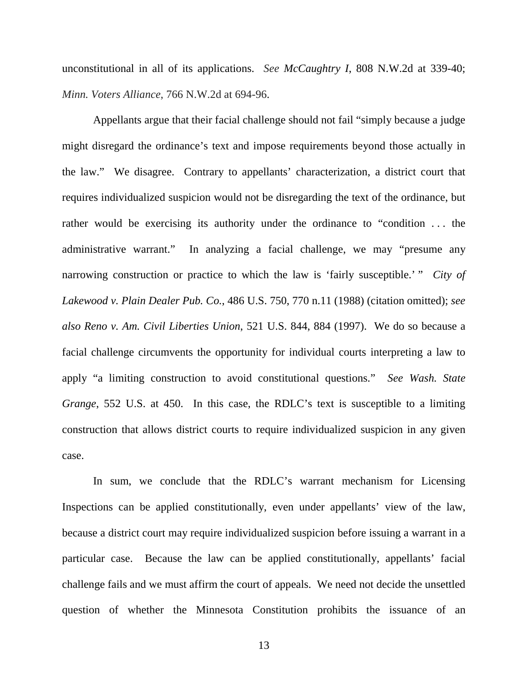unconstitutional in all of its applications. *See McCaughtry I*, 808 N.W.2d at 339-40; *Minn. Voters Alliance*, 766 N.W.2d at 694-96.

Appellants argue that their facial challenge should not fail "simply because a judge might disregard the ordinance's text and impose requirements beyond those actually in the law." We disagree. Contrary to appellants' characterization, a district court that requires individualized suspicion would not be disregarding the text of the ordinance, but rather would be exercising its authority under the ordinance to "condition ... the administrative warrant." In analyzing a facial challenge, we may "presume any narrowing construction or practice to which the law is 'fairly susceptible.' " *City of Lakewood v. Plain Dealer Pub. Co.*, 486 U.S. 750, 770 n.11 (1988) (citation omitted); *see also Reno v. Am. Civil Liberties Union*, 521 U.S. 844, 884 (1997). We do so because a facial challenge circumvents the opportunity for individual courts interpreting a law to apply "a limiting construction to avoid constitutional questions." *See Wash. State Grange*, 552 U.S. at 450. In this case, the RDLC's text is susceptible to a limiting construction that allows district courts to require individualized suspicion in any given case.

In sum, we conclude that the RDLC's warrant mechanism for Licensing Inspections can be applied constitutionally, even under appellants' view of the law, because a district court may require individualized suspicion before issuing a warrant in a particular case. Because the law can be applied constitutionally, appellants' facial challenge fails and we must affirm the court of appeals. We need not decide the unsettled question of whether the Minnesota Constitution prohibits the issuance of an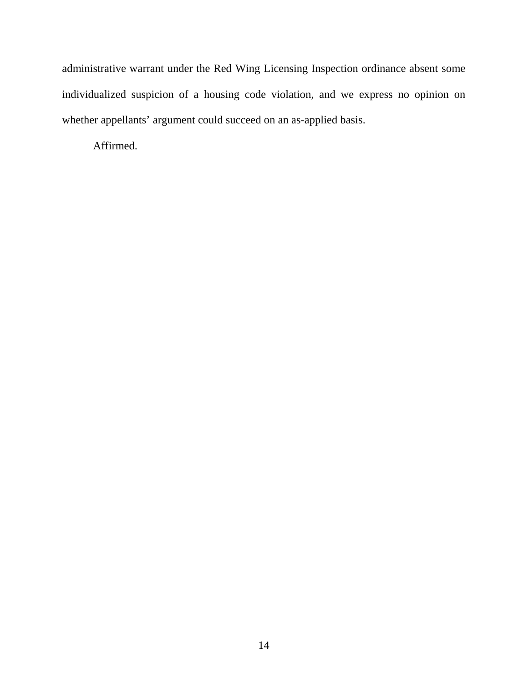administrative warrant under the Red Wing Licensing Inspection ordinance absent some individualized suspicion of a housing code violation, and we express no opinion on whether appellants' argument could succeed on an as-applied basis.

Affirmed.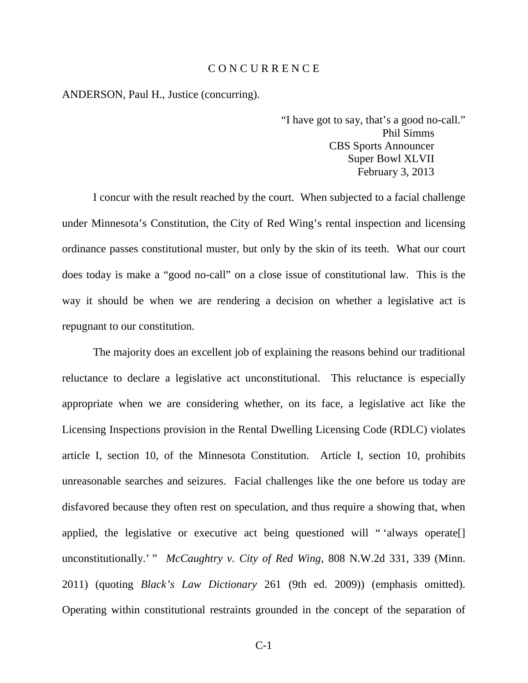#### C O N C U R R E N C E

ANDERSON, Paul H., Justice (concurring).

"I have got to say, that's a good no-call." Phil Simms CBS Sports Announcer Super Bowl XLVII February 3, 2013

I concur with the result reached by the court. When subjected to a facial challenge under Minnesota's Constitution, the City of Red Wing's rental inspection and licensing ordinance passes constitutional muster, but only by the skin of its teeth. What our court does today is make a "good no-call" on a close issue of constitutional law. This is the way it should be when we are rendering a decision on whether a legislative act is repugnant to our constitution.

The majority does an excellent job of explaining the reasons behind our traditional reluctance to declare a legislative act unconstitutional. This reluctance is especially appropriate when we are considering whether, on its face, a legislative act like the Licensing Inspections provision in the Rental Dwelling Licensing Code (RDLC) violates article I, section 10, of the Minnesota Constitution. Article I, section 10, prohibits unreasonable searches and seizures. Facial challenges like the one before us today are disfavored because they often rest on speculation, and thus require a showing that, when applied, the legislative or executive act being questioned will " 'always operate[] unconstitutionally.' " *McCaughtry v. City of Red Wing*, 808 N.W.2d 331, 339 (Minn. 2011) (quoting *Black's Law Dictionary* 261 (9th ed. 2009)) (emphasis omitted). Operating within constitutional restraints grounded in the concept of the separation of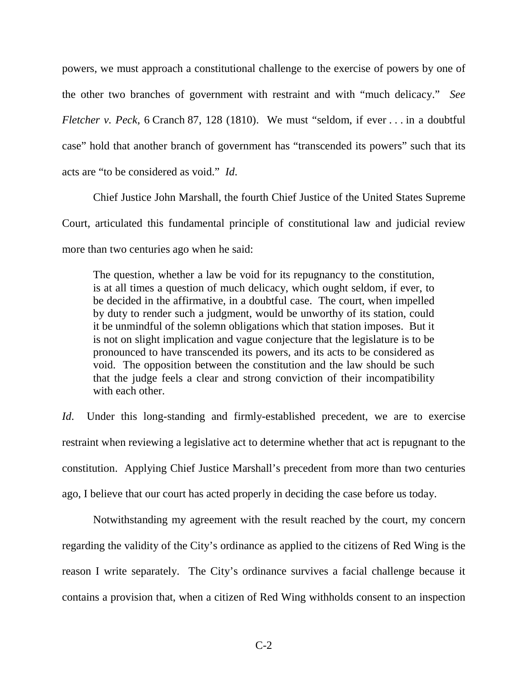powers, we must approach a constitutional challenge to the exercise of powers by one of the other two branches of government with restraint and with "much delicacy." *See Fletcher v. Peck*, 6 Cranch 87, 128 (1810). We must "seldom, if ever . . . in a doubtful case" hold that another branch of government has "transcended its powers" such that its acts are "to be considered as void." *Id*.

Chief Justice John Marshall, the fourth Chief Justice of the United States Supreme Court, articulated this fundamental principle of constitutional law and judicial review more than two centuries ago when he said:

The question, whether a law be void for its repugnancy to the constitution, is at all times a question of much delicacy, which ought seldom, if ever, to be decided in the affirmative, in a doubtful case. The court, when impelled by duty to render such a judgment, would be unworthy of its station, could it be unmindful of the solemn obligations which that station imposes. But it is not on slight implication and vague conjecture that the legislature is to be pronounced to have transcended its powers, and its acts to be considered as void. The opposition between the constitution and the law should be such that the judge feels a clear and strong conviction of their incompatibility with each other.

*Id*. Under this long-standing and firmly-established precedent, we are to exercise restraint when reviewing a legislative act to determine whether that act is repugnant to the constitution. Applying Chief Justice Marshall's precedent from more than two centuries ago, I believe that our court has acted properly in deciding the case before us today.

Notwithstanding my agreement with the result reached by the court, my concern regarding the validity of the City's ordinance as applied to the citizens of Red Wing is the reason I write separately. The City's ordinance survives a facial challenge because it contains a provision that, when a citizen of Red Wing withholds consent to an inspection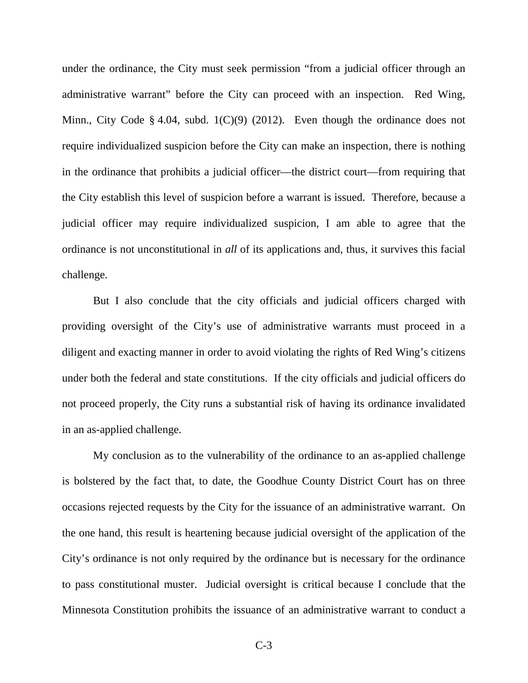under the ordinance, the City must seek permission "from a judicial officer through an administrative warrant" before the City can proceed with an inspection. Red Wing, Minn., City Code § 4.04, subd. 1(C)(9) (2012). Even though the ordinance does not require individualized suspicion before the City can make an inspection, there is nothing in the ordinance that prohibits a judicial officer—the district court—from requiring that the City establish this level of suspicion before a warrant is issued. Therefore, because a judicial officer may require individualized suspicion, I am able to agree that the ordinance is not unconstitutional in *all* of its applications and, thus, it survives this facial challenge.

But I also conclude that the city officials and judicial officers charged with providing oversight of the City's use of administrative warrants must proceed in a diligent and exacting manner in order to avoid violating the rights of Red Wing's citizens under both the federal and state constitutions. If the city officials and judicial officers do not proceed properly, the City runs a substantial risk of having its ordinance invalidated in an as-applied challenge.

My conclusion as to the vulnerability of the ordinance to an as-applied challenge is bolstered by the fact that, to date, the Goodhue County District Court has on three occasions rejected requests by the City for the issuance of an administrative warrant. On the one hand, this result is heartening because judicial oversight of the application of the City's ordinance is not only required by the ordinance but is necessary for the ordinance to pass constitutional muster. Judicial oversight is critical because I conclude that the Minnesota Constitution prohibits the issuance of an administrative warrant to conduct a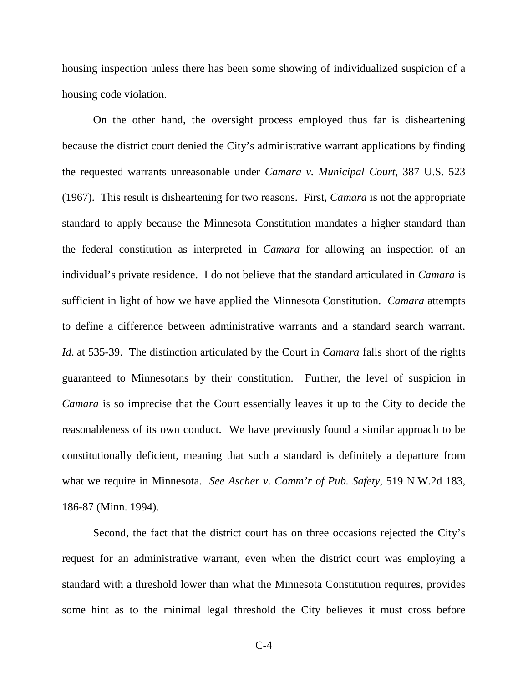housing inspection unless there has been some showing of individualized suspicion of a housing code violation.

On the other hand, the oversight process employed thus far is disheartening because the district court denied the City's administrative warrant applications by finding the requested warrants unreasonable under *Camara v. Municipal Court,* 387 U.S. 523 (1967). This result is disheartening for two reasons. First, *Camara* is not the appropriate standard to apply because the Minnesota Constitution mandates a higher standard than the federal constitution as interpreted in *Camara* for allowing an inspection of an individual's private residence. I do not believe that the standard articulated in *Camara* is sufficient in light of how we have applied the Minnesota Constitution. *Camara* attempts to define a difference between administrative warrants and a standard search warrant. *Id*. at 535-39. The distinction articulated by the Court in *Camara* falls short of the rights guaranteed to Minnesotans by their constitution. Further, the level of suspicion in *Camara* is so imprecise that the Court essentially leaves it up to the City to decide the reasonableness of its own conduct. We have previously found a similar approach to be constitutionally deficient, meaning that such a standard is definitely a departure from what we require in Minnesota. *See Ascher v. Comm'r of Pub. Safety*, 519 N.W.2d 183, 186-87 (Minn. 1994).

Second, the fact that the district court has on three occasions rejected the City's request for an administrative warrant, even when the district court was employing a standard with a threshold lower than what the Minnesota Constitution requires, provides some hint as to the minimal legal threshold the City believes it must cross before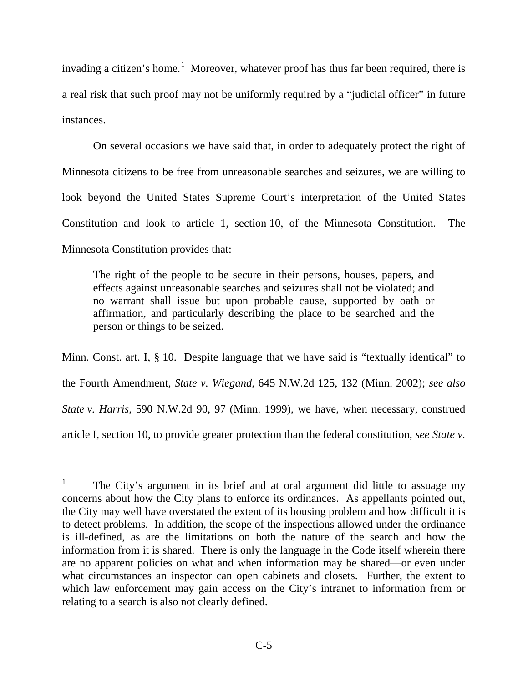invading a citizen's home.<sup>[1](#page-11-0)</sup> Moreover, whatever proof has thus far been required, there is a real risk that such proof may not be uniformly required by a "judicial officer" in future instances.

On several occasions we have said that, in order to adequately protect the right of Minnesota citizens to be free from unreasonable searches and seizures, we are willing to look beyond the United States Supreme Court's interpretation of the United States Constitution and look to article 1, section 10, of the Minnesota Constitution. The Minnesota Constitution provides that:

The right of the people to be secure in their persons, houses, papers, and effects against unreasonable searches and seizures shall not be violated; and no warrant shall issue but upon probable cause, supported by oath or affirmation, and particularly describing the place to be searched and the person or things to be seized.

Minn. Const. art. I, § 10. Despite language that we have said is "textually identical" to the Fourth Amendment, *State v. Wiegand*, 645 N.W.2d 125, 132 (Minn. 2002); *see also State v. Harris*, 590 N.W.2d 90, 97 (Minn. 1999), we have, when necessary, construed article I, section 10, to provide greater protection than the federal constitution, *see State v.* 

<span id="page-18-0"></span><sup>&</sup>lt;sup>1</sup> The City's argument in its brief and at oral argument did little to assuage my concerns about how the City plans to enforce its ordinances. As appellants pointed out, the City may well have overstated the extent of its housing problem and how difficult it is to detect problems. In addition, the scope of the inspections allowed under the ordinance is ill-defined, as are the limitations on both the nature of the search and how the information from it is shared. There is only the language in the Code itself wherein there are no apparent policies on what and when information may be shared—or even under what circumstances an inspector can open cabinets and closets. Further, the extent to which law enforcement may gain access on the City's intranet to information from or relating to a search is also not clearly defined.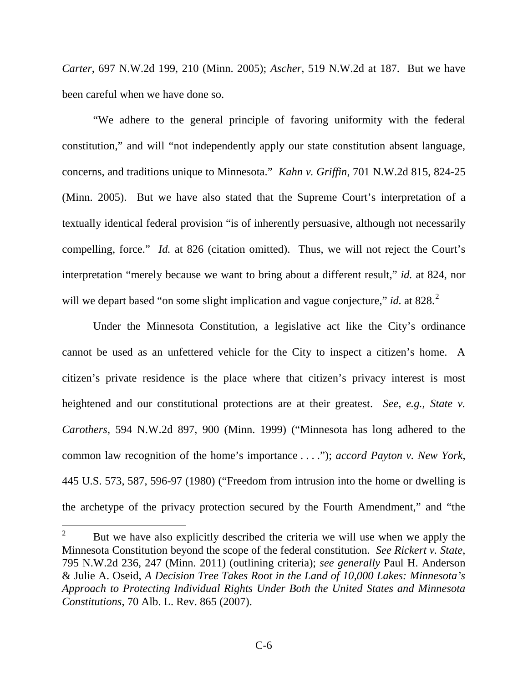*Carter*, 697 N.W.2d 199, 210 (Minn. 2005); *Ascher*, 519 N.W.2d at 187. But we have been careful when we have done so.

"We adhere to the general principle of favoring uniformity with the federal constitution," and will "not independently apply our state constitution absent language, concerns, and traditions unique to Minnesota." *Kahn v. Griffin*, 701 N.W.2d 815, 824-25 (Minn. 2005). But we have also stated that the Supreme Court's interpretation of a textually identical federal provision "is of inherently persuasive, although not necessarily compelling, force." *Id.* at 826 (citation omitted). Thus, we will not reject the Court's interpretation "merely because we want to bring about a different result," *id.* at 824, nor will we depart based "on some slight implication and vague conjecture," *id.* at 8[2](#page-18-0)8.<sup>2</sup>

Under the Minnesota Constitution, a legislative act like the City's ordinance cannot be used as an unfettered vehicle for the City to inspect a citizen's home. A citizen's private residence is the place where that citizen's privacy interest is most heightened and our constitutional protections are at their greatest. *See, e.g.*, *State v. Carothers*, 594 N.W.2d 897, 900 (Minn. 1999) ("Minnesota has long adhered to the common law recognition of the home's importance . . . ."); *accord Payton v. New York*, 445 U.S. 573, 587, 596-97 (1980) ("Freedom from intrusion into the home or dwelling is the archetype of the privacy protection secured by the Fourth Amendment," and "the

<span id="page-19-0"></span><sup>&</sup>lt;sup>2</sup> But we have also explicitly described the criteria we will use when we apply the Minnesota Constitution beyond the scope of the federal constitution. *See Rickert v. State*, 795 N.W.2d 236, 247 (Minn. 2011) (outlining criteria); *see generally* Paul H. Anderson & Julie A. Oseid, *A Decision Tree Takes Root in the Land of 10,000 Lakes: Minnesota's Approach to Protecting Individual Rights Under Both the United States and Minnesota Constitutions*, 70 Alb. L. Rev. 865 (2007).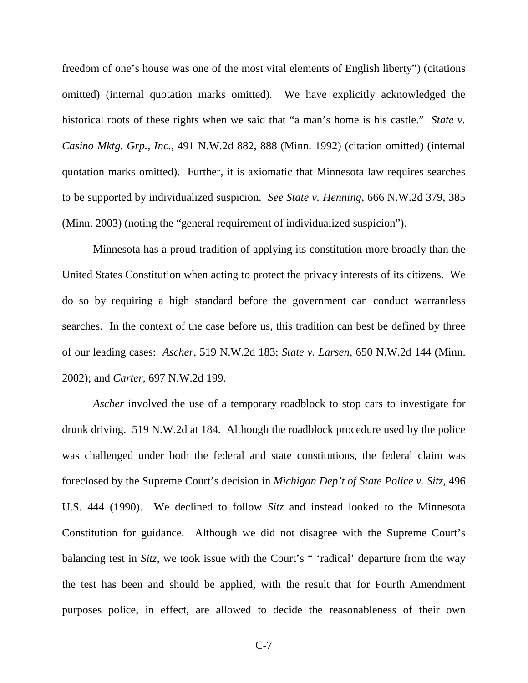freedom of one's house was one of the most vital elements of English liberty") (citations omitted) (internal quotation marks omitted). We have explicitly acknowledged the historical roots of these rights when we said that "a man's home is his castle." *State v. Casino Mktg. Grp., Inc.*, 491 N.W.2d 882, 888 (Minn. 1992) (citation omitted) (internal quotation marks omitted). Further, it is axiomatic that Minnesota law requires searches to be supported by individualized suspicion. *See State v. Henning*, 666 N.W.2d 379, 385 (Minn. 2003) (noting the "general requirement of individualized suspicion").

Minnesota has a proud tradition of applying its constitution more broadly than the United States Constitution when acting to protect the privacy interests of its citizens. We do so by requiring a high standard before the government can conduct warrantless searches. In the context of the case before us, this tradition can best be defined by three of our leading cases: *Ascher*, 519 N.W.2d 183; *State v. Larsen*, 650 N.W.2d 144 (Minn. 2002); and *Carter*, 697 N.W.2d 199.

*Ascher* involved the use of a temporary roadblock to stop cars to investigate for drunk driving. 519 N.W.2d at 184. Although the roadblock procedure used by the police was challenged under both the federal and state constitutions, the federal claim was foreclosed by the Supreme Court's decision in *Michigan Dep't of State Police v. Sitz,* 496 U.S. 444 (1990). We declined to follow *Sitz* and instead looked to the Minnesota Constitution for guidance. Although we did not disagree with the Supreme Court's balancing test in *Sitz*, we took issue with the Court's " 'radical' departure from the way the test has been and should be applied, with the result that for Fourth Amendment purposes police, in effect, are allowed to decide the reasonableness of their own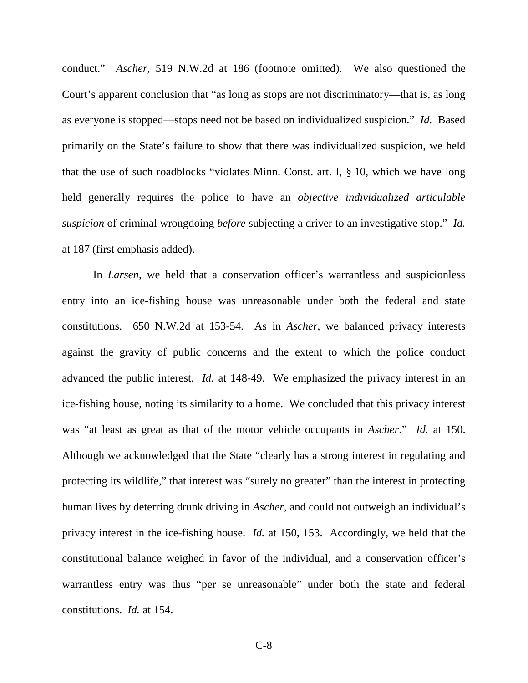conduct." *Ascher*, 519 N.W.2d at 186 (footnote omitted). We also questioned the Court's apparent conclusion that "as long as stops are not discriminatory—that is, as long as everyone is stopped—stops need not be based on individualized suspicion." *Id.* Based primarily on the State's failure to show that there was individualized suspicion, we held that the use of such roadblocks "violates Minn. Const. art. I, § 10, which we have long held generally requires the police to have an *objective individualized articulable suspicion* of criminal wrongdoing *before* subjecting a driver to an investigative stop." *Id.* at 187 (first emphasis added).

In *Larsen*, we held that a conservation officer's warrantless and suspicionless entry into an ice-fishing house was unreasonable under both the federal and state constitutions. 650 N.W.2d at 153-54. As in *Ascher*, we balanced privacy interests against the gravity of public concerns and the extent to which the police conduct advanced the public interest. *Id.* at 148-49. We emphasized the privacy interest in an ice-fishing house, noting its similarity to a home. We concluded that this privacy interest was "at least as great as that of the motor vehicle occupants in *Ascher*." *Id.* at 150. Although we acknowledged that the State "clearly has a strong interest in regulating and protecting its wildlife," that interest was "surely no greater" than the interest in protecting human lives by deterring drunk driving in *Ascher*, and could not outweigh an individual's privacy interest in the ice-fishing house. *Id.* at 150, 153. Accordingly, we held that the constitutional balance weighed in favor of the individual, and a conservation officer's warrantless entry was thus "per se unreasonable" under both the state and federal constitutions. *Id.* at 154.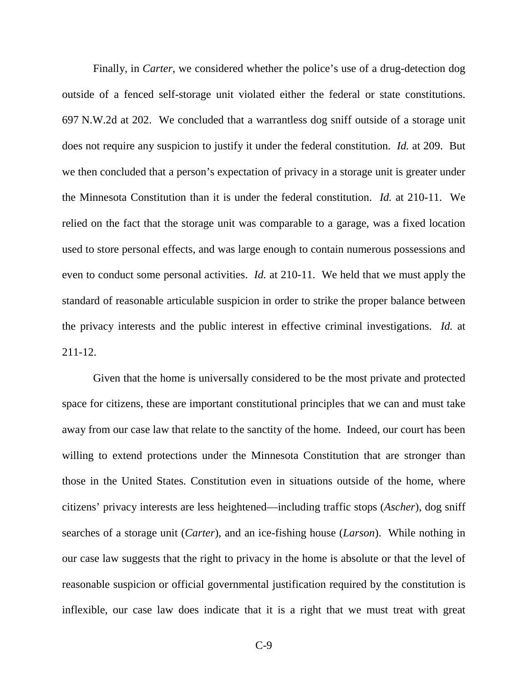Finally, in *Carter*, we considered whether the police's use of a drug-detection dog outside of a fenced self-storage unit violated either the federal or state constitutions. 697 N.W.2d at 202. We concluded that a warrantless dog sniff outside of a storage unit does not require any suspicion to justify it under the federal constitution. *Id.* at 209. But we then concluded that a person's expectation of privacy in a storage unit is greater under the Minnesota Constitution than it is under the federal constitution. *Id.* at 210-11. We relied on the fact that the storage unit was comparable to a garage, was a fixed location used to store personal effects, and was large enough to contain numerous possessions and even to conduct some personal activities. *Id.* at 210-11. We held that we must apply the standard of reasonable articulable suspicion in order to strike the proper balance between the privacy interests and the public interest in effective criminal investigations. *Id.* at 211-12.

Given that the home is universally considered to be the most private and protected space for citizens, these are important constitutional principles that we can and must take away from our case law that relate to the sanctity of the home. Indeed, our court has been willing to extend protections under the Minnesota Constitution that are stronger than those in the United States. Constitution even in situations outside of the home, where citizens' privacy interests are less heightened—including traffic stops (*Ascher*), dog sniff searches of a storage unit (*Carter*), and an ice-fishing house (*Larson*). While nothing in our case law suggests that the right to privacy in the home is absolute or that the level of reasonable suspicion or official governmental justification required by the constitution is inflexible, our case law does indicate that it is a right that we must treat with great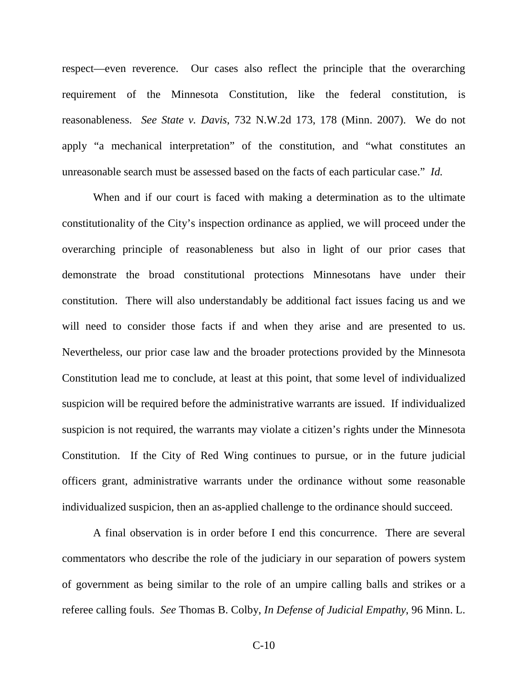respect—even reverence. Our cases also reflect the principle that the overarching requirement of the Minnesota Constitution, like the federal constitution, is reasonableness. *See State v. Davis*, 732 N.W.2d 173, 178 (Minn. 2007). We do not apply "a mechanical interpretation" of the constitution, and "what constitutes an unreasonable search must be assessed based on the facts of each particular case." *Id.*

When and if our court is faced with making a determination as to the ultimate constitutionality of the City's inspection ordinance as applied, we will proceed under the overarching principle of reasonableness but also in light of our prior cases that demonstrate the broad constitutional protections Minnesotans have under their constitution. There will also understandably be additional fact issues facing us and we will need to consider those facts if and when they arise and are presented to us. Nevertheless, our prior case law and the broader protections provided by the Minnesota Constitution lead me to conclude, at least at this point, that some level of individualized suspicion will be required before the administrative warrants are issued. If individualized suspicion is not required, the warrants may violate a citizen's rights under the Minnesota Constitution. If the City of Red Wing continues to pursue, or in the future judicial officers grant, administrative warrants under the ordinance without some reasonable individualized suspicion, then an as-applied challenge to the ordinance should succeed.

A final observation is in order before I end this concurrence. There are several commentators who describe the role of the judiciary in our separation of powers system of government as being similar to the role of an umpire calling balls and strikes or a referee calling fouls. *See* Thomas B. Colby, *In Defense of Judicial Empathy*, 96 Minn. L.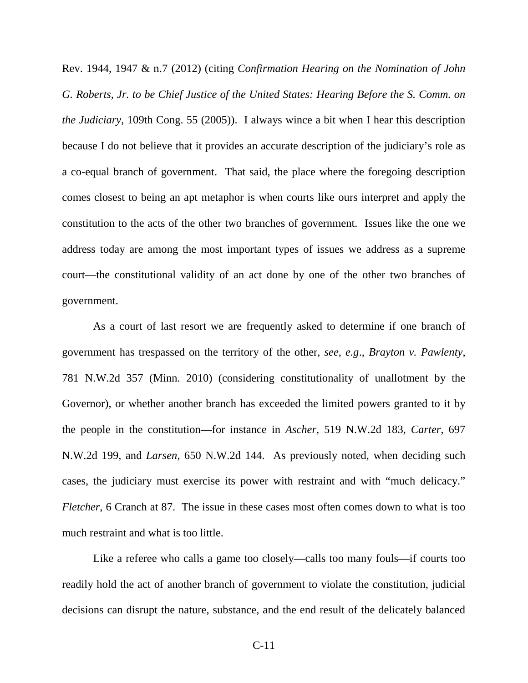Rev. 1944, 1947 & n.7 (2012) (citing *Confirmation Hearing on the Nomination of John G. Roberts, Jr. to be Chief Justice of the United States: Hearing Before the S. Comm. on the Judiciary*, 109th Cong. 55 (2005)). I always wince a bit when I hear this description because I do not believe that it provides an accurate description of the judiciary's role as a co-equal branch of government. That said, the place where the foregoing description comes closest to being an apt metaphor is when courts like ours interpret and apply the constitution to the acts of the other two branches of government. Issues like the one we address today are among the most important types of issues we address as a supreme court—the constitutional validity of an act done by one of the other two branches of government.

As a court of last resort we are frequently asked to determine if one branch of government has trespassed on the territory of the other, *see, e.g*., *Brayton v. Pawlenty*, 781 N.W.2d 357 (Minn. 2010) (considering constitutionality of unallotment by the Governor), or whether another branch has exceeded the limited powers granted to it by the people in the constitution—for instance in *Ascher*, 519 N.W.2d 183, *Carter*, 697 N.W.2d 199, and *Larsen*, 650 N.W.2d 144. As previously noted, when deciding such cases, the judiciary must exercise its power with restraint and with "much delicacy." *Fletcher*, 6 Cranch at 87. The issue in these cases most often comes down to what is too much restraint and what is too little.

Like a referee who calls a game too closely—calls too many fouls—if courts too readily hold the act of another branch of government to violate the constitution, judicial decisions can disrupt the nature, substance, and the end result of the delicately balanced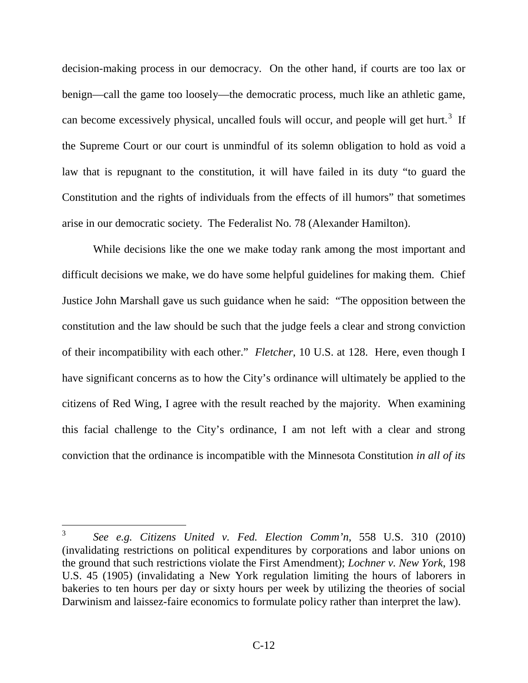decision-making process in our democracy. On the other hand, if courts are too lax or benign—call the game too loosely—the democratic process, much like an athletic game, can become excessively physical, uncalled fouls will occur, and people will get hurt.<sup>[3](#page-19-0)</sup> If the Supreme Court or our court is unmindful of its solemn obligation to hold as void a law that is repugnant to the constitution, it will have failed in its duty "to guard the Constitution and the rights of individuals from the effects of ill humors" that sometimes arise in our democratic society. The Federalist No*.* 78 (Alexander Hamilton).

While decisions like the one we make today rank among the most important and difficult decisions we make, we do have some helpful guidelines for making them. Chief Justice John Marshall gave us such guidance when he said: "The opposition between the constitution and the law should be such that the judge feels a clear and strong conviction of their incompatibility with each other." *Fletcher*, 10 U.S. at 128. Here, even though I have significant concerns as to how the City's ordinance will ultimately be applied to the citizens of Red Wing, I agree with the result reached by the majority. When examining this facial challenge to the City's ordinance, I am not left with a clear and strong conviction that the ordinance is incompatible with the Minnesota Constitution *in all of its* 

<span id="page-25-0"></span> <sup>3</sup> *See e.g. Citizens United v. Fed. Election Comm'n*, 558 U.S. 310 (2010) (invalidating restrictions on political expenditures by corporations and labor unions on the ground that such restrictions violate the First Amendment); *Lochner v. New York*, 198 U.S. 45 (1905) (invalidating a New York regulation limiting the hours of laborers in bakeries to ten hours per day or sixty hours per week by utilizing the theories of social Darwinism and laissez-faire economics to formulate policy rather than interpret the law).